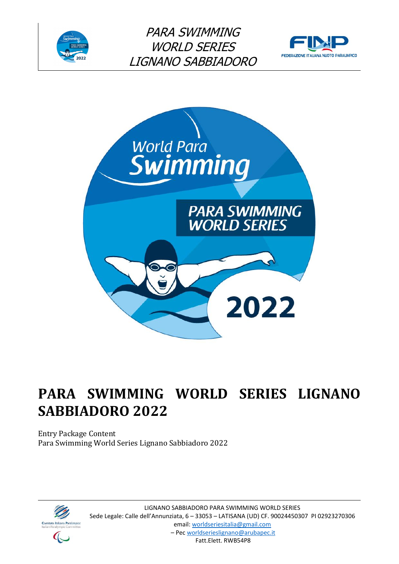





# **PARA SWIMMING WORLD SERIES LIGNANO SABBIADORO 2022**

Entry Package Content Para Swimming World Series Lignano Sabbiadoro 2022

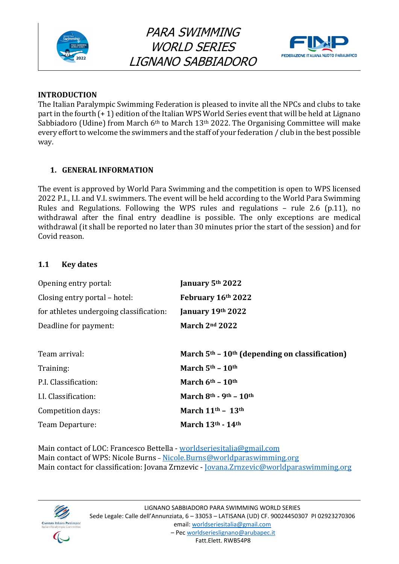



## **INTRODUCTION**

The Italian Paralympic Swimming Federation is pleased to invite all the NPCs and clubs to take part in the fourth (+ 1) edition of the Italian WPS World Series event that will be held at Lignano Sabbiadoro (Udine) from March 6<sup>th</sup> to March 13<sup>th</sup> 2022. The Organising Committee will make every effort to welcome the swimmers and the staff of your federation / club in the best possible way.

# **1. GENERAL INFORMATION**

The event is approved by World Para Swimming and the competition is open to WPS licensed 2022 P.I., I.I. and V.I. swimmers. The event will be held according to the World Para Swimming Rules and Regulations. Following the WPS rules and regulations – rule 2.6 (p.11), no withdrawal after the final entry deadline is possible. The only exceptions are medical withdrawal (it shall be reported no later than 30 minutes prior the start of the session) and for Covid reason.

# **1.1 Key dates**

| January 5th 2022                                             |
|--------------------------------------------------------------|
| February 16th 2022                                           |
| January 19th 2022                                            |
| March $2nd 2022$                                             |
|                                                              |
| March $5th$ – 10 <sup>th</sup> (depending on classification) |
| March $5th - 10th$                                           |
| March $6th - 10th$                                           |
| March $8th$ - 9 <sup>th</sup> - 10 <sup>th</sup>             |
| March $11th$ - $13th$                                        |
| March $13th$ - $14th$                                        |
|                                                              |

Main contact of LOC: Francesco Bettella - [worldseriesitalia@gmail.com](mailto:worldseriesitalia@gmail.com) Main contact of WPS: Nicole Burns – [Nicole.Burns@worldparaswimming.org](mailto:Nicole.Burns@worldparaswimming.org) Main contact for classification: Jovana Zrnzevic - [Jovana.Zrnzevic@worldparaswimming.org](mailto:Jovana.Zrnzevic@worldparaswimming.org)

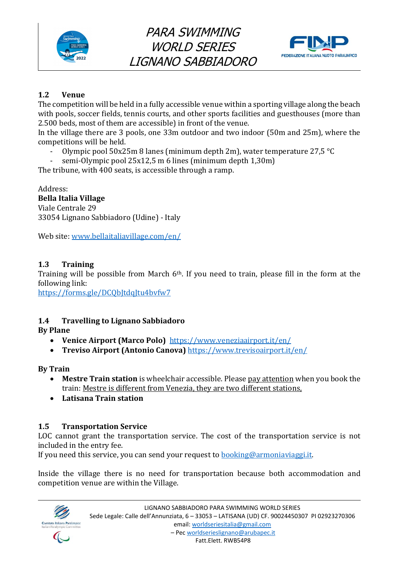



# **1.2 Venue**

The competition will be held in a fully accessible venue within a sporting village along the beach with pools, soccer fields, tennis courts, and other sports facilities and guesthouses (more than 2.500 beds, most of them are accessible) in front of the venue.

In the village there are 3 pools, one 33m outdoor and two indoor (50m and 25m), where the competitions will be held.

- Olympic pool 50x25m 8 lanes (minimum depth 2m), water temperature 27,5 °C
- semi-Olympic pool 25x12,5 m 6 lines (minimum depth 1,30m)

The tribune, with 400 seats, is accessible through a ramp.

Address: **Bella Italia Village** Viale Centrale 29 33054 Lignano Sabbiadoro (Udine) - Italy

Web site: [www.bellaitaliavillage.com/en/](http://www.bellaitaliavillage.com/en/)

# **1.3 Training**

Training will be possible from March 6<sup>th</sup>. If you need to train, please fill in the form at the following link:

<https://forms.gle/DCQbJtdqJtu4bvfw7>

# **1.4 Travelling to Lignano Sabbiadoro**

**By Plane**

- **Venice Airport (Marco Polo)** [https://www.veneziaairport.it/en/](mailto:https://www.veneziaairport.it/en/)
- **Treviso Airport (Antonio Canova)** [https://www.trevisoairport.it/en/](mailto:https://www.trevisoairport.it/en/)

**By Train** 

- **Mestre Train station** is wheelchair accessible. Please pay attention when you book the train: Mestre is different from Venezia, they are two different stations,
- **Latisana Train station**

## **1.5 Transportation Service**

LOC cannot grant the transportation service. The cost of the transportation service is not included in the entry fee.

If you need this service, you can send your request to [booking@armoniaviaggi.it.](mailto:booking@armoniaviaggi.it)

Inside the village there is no need for transportation because both accommodation and competition venue are within the Village.

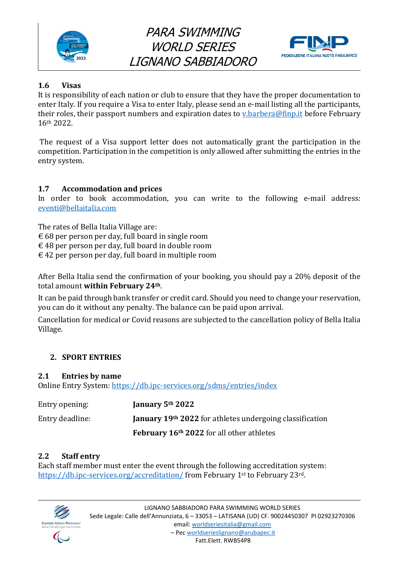



# **1.6 Visas**

It is responsibility of each nation or club to ensure that they have the proper documentation to enter Italy. If you require a Visa to enter Italy, please send an e-mail listing all the participants, their roles, their passport numbers and expiration dates to [v.barbera@finp.it](mailto:v.barbera@finp.it) before February 16th 2022.

The request of a Visa support letter does not automatically grant the participation in the competition. Participation in the competition is only allowed after submitting the entries in the entry system.

# **1.7 Accommodation and prices**

In order to book accommodation, you can write to the following e-mail address: [eventi@bellaitalia.com](mailto:eventi@bellaitalia.com)

The rates of Bella Italia Village are:

 $\epsilon$  68 per person per day, full board in single room

- $\epsilon$  48 per person per day, full board in double room
- $\epsilon$  42 per person per day, full board in multiple room

After Bella Italia send the confirmation of your booking, you should pay a 20% deposit of the total amount **within February 24th**.

It can be paid through bank transfer or credit card. Should you need to change your reservation, you can do it without any penalty. The balance can be paid upon arrival.

Cancellation for medical or Covid reasons are subjected to the cancellation policy of Bella Italia Village.

# **2. SPORT ENTRIES**

## **2.1 Entries by name**

Online Entry System:<https://db.ipc-services.org/sdms/entries/index>

| Entry opening:  | January 5 <sup>th</sup> 2022                                    |
|-----------------|-----------------------------------------------------------------|
| Entry deadline: | <b>January 19th 2022</b> for athletes undergoing classification |
|                 | February 16 <sup>th</sup> 2022 for all other athletes           |

## **2.2 Staff entry**

Each staff member must enter the event through the following accreditation system: <https://db.ipc-services.org/accreditation/> from February 1st to February 23rd.

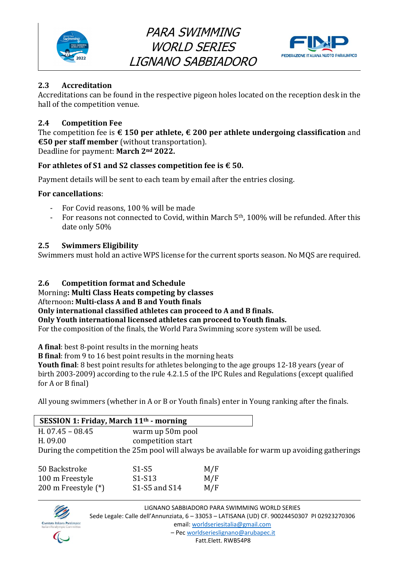



# **2.3 Accreditation**

Accreditations can be found in the respective pigeon holes located on the reception desk in the hall of the competition venue.

# **2.4 Competition Fee**

The competition fee is **€ 150 per athlete, € 200 per athlete undergoing classification** and **€50 per staff member** (without transportation). Deadline for payment: **March 2nd 2022.**

## **For athletes of S1 and S2 classes competition fee is € 50.**

Payment details will be sent to each team by email after the entries closing.

## **For cancellations**:

- For Covid reasons, 100 % will be made
- For reasons not connected to Covid, within March 5<sup>th</sup>, 100% will be refunded. After this date only 50%

#### **2.5 Swimmers Eligibility**

Swimmers must hold an active WPS license for the current sports season. No MQS are required.

## **2.6 Competition format and Schedule**

Morning**: Multi Class Heats competing by classes**

## Afternoon**: Multi-class A and B and Youth finals**

**Only international classified athletes can proceed to A and B finals.** 

**Only Youth international licensed athletes can proceed to Youth finals.** 

For the composition of the finals, the World Para Swimming score system will be used.

**A final**: best 8-point results in the morning heats

**B final**: from 9 to 16 best point results in the morning heats

**Youth final**: 8 best point results for athletes belonging to the age groups 12-18 years (year of birth 2003-2009) according to the rule 4.2.1.5 of the IPC Rules and Regulations (except qualified for A or B final)

All young swimmers (whether in A or B or Youth finals) enter in Young ranking after the finals.

| SESSION 1: Friday, March 11 <sup>th</sup> - morning |                   |     |                                                                                              |
|-----------------------------------------------------|-------------------|-----|----------------------------------------------------------------------------------------------|
| H. $07.45 - 08.45$                                  | warm up 50m pool  |     |                                                                                              |
| H. 09.00                                            | competition start |     |                                                                                              |
|                                                     |                   |     | During the competition the 25m pool will always be available for warm up avoiding gatherings |
| 50 Backstroke                                       | $S1-S5$           | M/F |                                                                                              |
| 100 m Freestyle                                     | $S1-S13$          | M/F |                                                                                              |
| 200 m Freestyle $(*)$                               | S1-S5 and S14     | M/F |                                                                                              |

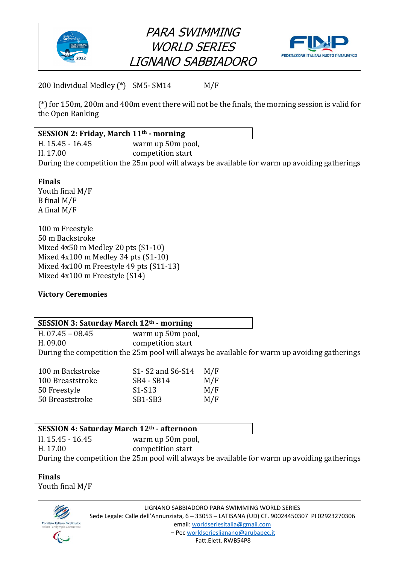





200 Individual Medley (\*) SM5- SM14 M/F

(\*) for 150m, 200m and 400m event there will not be the finals, the morning session is valid for the Open Ranking

# **SESSION 2: Friday, March 11th - morning**  H. 15.45 - 16.45 warm up 50m pool, H. 17.00 competition start During the competition the 25m pool will always be available for warm up avoiding gatherings

## **Finals**

Youth final M/F B final M/F A final M/F

100 m Freestyle 50 m Backstroke Mixed 4x50 m Medley 20 pts (S1-10) Mixed 4x100 m Medley 34 pts (S1-10) Mixed 4x100 m Freestyle 49 pts (S11-13) Mixed 4x100 m Freestyle (S14)

## **Victory Ceremonies**

# **SESSION 3: Saturday March 12th - morning**

H. 07.45 – 08.45 warm up 50m pool, H. 09.00 competition start During the competition the 25m pool will always be available for warm up avoiding gatherings

| 100 m Backstroke | S1- S2 and S6-S14               | M/F |
|------------------|---------------------------------|-----|
| 100 Breaststroke | SB4 - SB14                      | M/F |
| 50 Freestyle     | S <sub>1</sub> -S <sub>13</sub> | M/F |
| 50 Breaststroke  | SB1-SB3                         | M/F |

## **SESSION 4: Saturday March 12th - afternoon**

H. 15.45 - 16.45 warm up 50m pool, H. 17.00 competition start During the competition the 25m pool will always be available for warm up avoiding gatherings

**Finals**  Youth final M/F

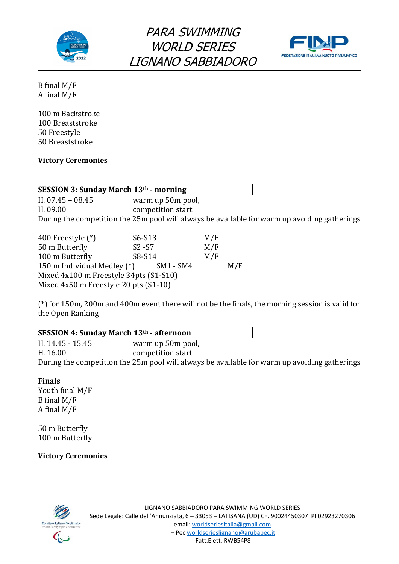



B final M/F A final M/F

100 m Backstroke 100 Breaststroke 50 Freestyle 50 Breaststroke

#### **Victory Ceremonies**

#### **SESSION 3: Sunday March 13th - morning**  H. 07.45 – 08.45 warm up 50m pool, H. 09.00 competition start During the competition the 25m pool will always be available for warm up avoiding gatherings

| 400 Freestyle $(*)$                       | S6-S13    | M/F |     |  |  |  |
|-------------------------------------------|-----------|-----|-----|--|--|--|
| 50 m Butterfly                            | $S2 - S7$ | M/F |     |  |  |  |
| 100 m Butterfly                           | S8-S14    | M/F |     |  |  |  |
| 150 m Individual Medley (*)               | SM1 - SM4 |     | M/F |  |  |  |
| Mixed 4x100 m Freestyle 34pts (S1-S10)    |           |     |     |  |  |  |
| Mixed $4x50$ m Freestyle 20 pts $(S1-10)$ |           |     |     |  |  |  |

(\*) for 150m, 200m and 400m event there will not be the finals, the morning session is valid for the Open Ranking

# **SESSION 4: Sunday March 13th - afternoon**

H. 14.45 - 15.45 warm up 50m pool, H. 16.00 competition start During the competition the 25m pool will always be available for warm up avoiding gatherings

#### **Finals**

Youth final M/F B final M/F A final M/F

50 m Butterfly 100 m Butterfly

**Victory Ceremonies**

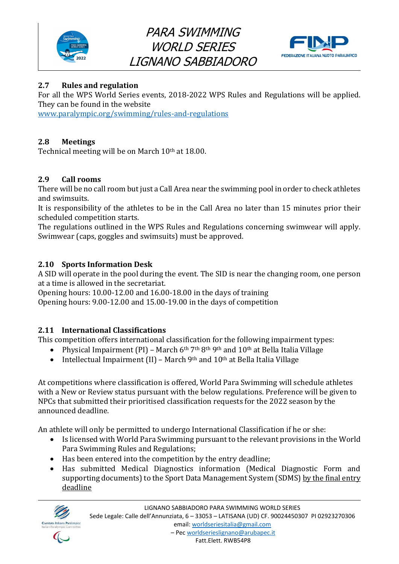



# **2.7 Rules and regulation**

For all the WPS World Series events, 2018-2022 WPS Rules and Regulations will be applied. They can be found in the website

[www.paralympic.org/swimming/rules-and-regulations](file:///C:/Users/Francesco/AppData/Local/Microsoft/Windows/INetCache/Content.Outlook/KJWFZCLV/www.paralympic.org/swimming/rules-and-regulations)

# **2.8 Meetings**

Technical meeting will be on March 10<sup>th</sup> at 18.00.

# **2.9 Call rooms**

There will be no call room but just a Call Area near the swimming pool in order to check athletes and swimsuits.

It is responsibility of the athletes to be in the Call Area no later than 15 minutes prior their scheduled competition starts.

The regulations outlined in the WPS Rules and Regulations concerning swimwear will apply. Swimwear (caps, goggles and swimsuits) must be approved.

# **2.10 Sports Information Desk**

A SID will operate in the pool during the event. The SID is near the changing room, one person at a time is allowed in the secretariat.

Opening hours: 10.00-12.00 and 16.00-18.00 in the days of training

Opening hours: 9.00-12.00 and 15.00-19.00 in the days of competition

# **2.11 International Classifications**

This competition offers international classification for the following impairment types:

- Physical Impairment (PI) March 6<sup>th</sup> 7<sup>th</sup> 8<sup>th</sup> 9<sup>th</sup> and 10<sup>th</sup> at Bella Italia Village
- Intellectual Impairment (II) March 9<sup>th</sup> and  $10<sup>th</sup>$  at Bella Italia Village

At competitions where classification is offered, World Para Swimming will schedule athletes with a New or Review status pursuant with the below regulations. Preference will be given to NPCs that submitted their prioritised classification requests for the 2022 season by the announced deadline.

An athlete will only be permitted to undergo International Classification if he or she:

- Is licensed with World Para Swimming pursuant to the relevant provisions in the World Para Swimming Rules and Regulations;
- Has been entered into the competition by the entry deadline;
- Has submitted Medical Diagnostics information (Medical Diagnostic Form and supporting documents) to the Sport Data Management System (SDMS) by the final entry deadline

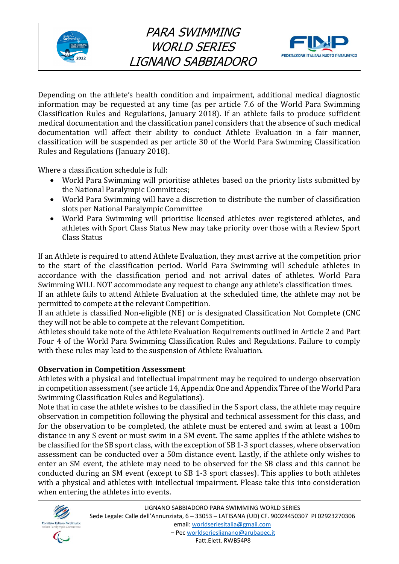



Depending on the athlete's health condition and impairment, additional medical diagnostic information may be requested at any time (as per article 7.6 of the World Para Swimming Classification Rules and Regulations, January 2018). If an athlete fails to produce sufficient medical documentation and the classification panel considers that the absence of such medical documentation will affect their ability to conduct Athlete Evaluation in a fair manner, classification will be suspended as per article 30 of the World Para Swimming Classification Rules and Regulations (January 2018).

Where a classification schedule is full:

- World Para Swimming will prioritise athletes based on the priority lists submitted by the National Paralympic Committees;
- World Para Swimming will have a discretion to distribute the number of classification slots per National Paralympic Committee
- World Para Swimming will prioritise licensed athletes over registered athletes, and athletes with Sport Class Status New may take priority over those with a Review Sport Class Status

If an Athlete is required to attend Athlete Evaluation, they must arrive at the competition prior to the start of the classification period. World Para Swimming will schedule athletes in accordance with the classification period and not arrival dates of athletes. World Para Swimming WILL NOT accommodate any request to change any athlete's classification times.

If an athlete fails to attend Athlete Evaluation at the scheduled time, the athlete may not be permitted to compete at the relevant Competition.

If an athlete is classified Non-eligible (NE) or is designated Classification Not Complete (CNC they will not be able to compete at the relevant Competition.

Athletes should take note of the Athlete Evaluation Requirements outlined in Article 2 and Part Four 4 of the World Para Swimming Classification Rules and Regulations. Failure to comply with these rules may lead to the suspension of Athlete Evaluation.

## **Observation in Competition Assessment**

Athletes with a physical and intellectual impairment may be required to undergo observation in competition assessment (see article 14, Appendix One and Appendix Three of the World Para Swimming Classification Rules and Regulations).

Note that in case the athlete wishes to be classified in the S sport class, the athlete may require observation in competition following the physical and technical assessment for this class, and for the observation to be completed, the athlete must be entered and swim at least a 100m distance in any S event or must swim in a SM event. The same applies if the athlete wishes to be classified for the SB sport class, with the exception of SB 1-3 sport classes, where observation assessment can be conducted over a 50m distance event. Lastly, if the athlete only wishes to enter an SM event, the athlete may need to be observed for the SB class and this cannot be conducted during an SM event (except to SB 1-3 sport classes). This applies to both athletes with a physical and athletes with intellectual impairment. Please take this into consideration when entering the athletes into events.